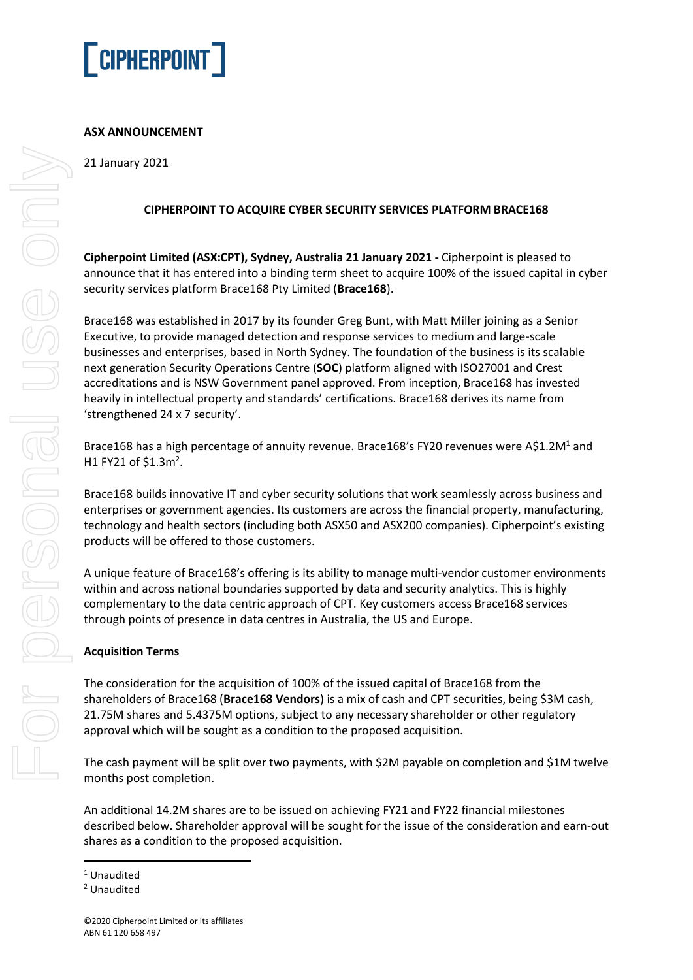

## **ASX ANNOUNCEMENT**

21 January 2021

## **CIPHERPOINT TO ACQUIRE CYBER SECURITY SERVICES PLATFORM BRACE168**

**Cipherpoint Limited (ASX:CPT), Sydney, Australia 21 January 2021 -** Cipherpoint is pleased to announce that it has entered into a binding term sheet to acquire 100% of the issued capital in cyber security services platform Brace168 Pty Limited (**Brace168**).

Brace168 was established in 2017 by its founder Greg Bunt, with Matt Miller joining as a Senior Executive, to provide managed detection and response services to medium and large-scale businesses and enterprises, based in North Sydney. The foundation of the business is its scalable next generation Security Operations Centre (**SOC**) platform aligned with ISO27001 and Crest accreditations and is NSW Government panel approved. From inception, Brace168 has invested heavily in intellectual property and standards' certifications. Brace168 derives its name from 'strengthened 24 x 7 security'.

Brace168 has a high percentage of annuity revenue. Brace168's FY20 revenues were A\$1.2M<sup>1</sup> and H1 FY21 of \$1.3m<sup>2</sup>.

Brace168 builds innovative IT and cyber security solutions that work seamlessly across business and enterprises or government agencies. Its customers are across the financial property, manufacturing, technology and health sectors (including both ASX50 and ASX200 companies). Cipherpoint's existing products will be offered to those customers.

A unique feature of Brace168's offering is its ability to manage multi-vendor customer environments within and across national boundaries supported by data and security analytics. This is highly complementary to the data centric approach of CPT. Key customers access Brace168 services through points of presence in data centres in Australia, the US and Europe.

## **Acquisition Terms**

The consideration for the acquisition of 100% of the issued capital of Brace168 from the shareholders of Brace168 (**Brace168 Vendors**) is a mix of cash and CPT securities, being \$3M cash, 21.75M shares and 5.4375M options, subject to any necessary shareholder or other regulatory approval which will be sought as a condition to the proposed acquisition.

The cash payment will be split over two payments, with \$2M payable on completion and \$1M twelve months post completion.

An additional 14.2M shares are to be issued on achieving FY21 and FY22 financial milestones described below. Shareholder approval will be sought for the issue of the consideration and earn-out shares as a condition to the proposed acquisition.

<sup>1</sup> Unaudited

<sup>2</sup> Unaudited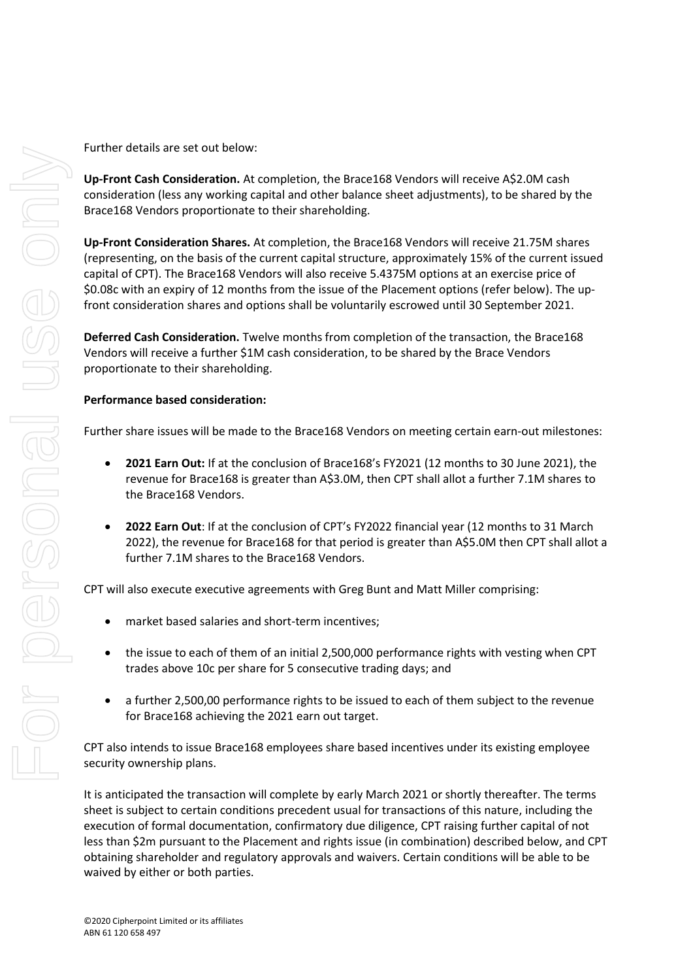Further details are set out below:

**Up-Front Cash Consideration.** At completion, the Brace168 Vendors will receive A\$2.0M cash consideration (less any working capital and other balance sheet adjustments), to be shared by the Brace168 Vendors proportionate to their shareholding.

**Up-Front Consideration Shares.** At completion, the Brace168 Vendors will receive 21.75M shares (representing, on the basis of the current capital structure, approximately 15% of the current issued capital of CPT). The Brace168 Vendors will also receive 5.4375M options at an exercise price of \$0.08c with an expiry of 12 months from the issue of the Placement options (refer below). The upfront consideration shares and options shall be voluntarily escrowed until 30 September 2021.

**Deferred Cash Consideration.** Twelve months from completion of the transaction, the Brace168 Vendors will receive a further \$1M cash consideration, to be shared by the Brace Vendors proportionate to their shareholding.

## **Performance based consideration:**

Further share issues will be made to the Brace168 Vendors on meeting certain earn-out milestones:

- **2021 Earn Out:** If at the conclusion of Brace168's FY2021 (12 months to 30 June 2021), the revenue for Brace168 is greater than A\$3.0M, then CPT shall allot a further 7.1M shares to the Brace168 Vendors.
- **2022 Earn Out**: If at the conclusion of CPT's FY2022 financial year (12 months to 31 March 2022), the revenue for Brace168 for that period is greater than A\$5.0M then CPT shall allot a further 7.1M shares to the Brace168 Vendors.

CPT will also execute executive agreements with Greg Bunt and Matt Miller comprising:

- market based salaries and short-term incentives;
- the issue to each of them of an initial 2,500,000 performance rights with vesting when CPT trades above 10c per share for 5 consecutive trading days; and
- a further 2,500,00 performance rights to be issued to each of them subject to the revenue for Brace168 achieving the 2021 earn out target.

CPT also intends to issue Brace168 employees share based incentives under its existing employee security ownership plans.

It is anticipated the transaction will complete by early March 2021 or shortly thereafter. The terms sheet is subject to certain conditions precedent usual for transactions of this nature, including the execution of formal documentation, confirmatory due diligence, CPT raising further capital of not less than \$2m pursuant to the Placement and rights issue (in combination) described below, and CPT obtaining shareholder and regulatory approvals and waivers. Certain conditions will be able to be waived by either or both parties.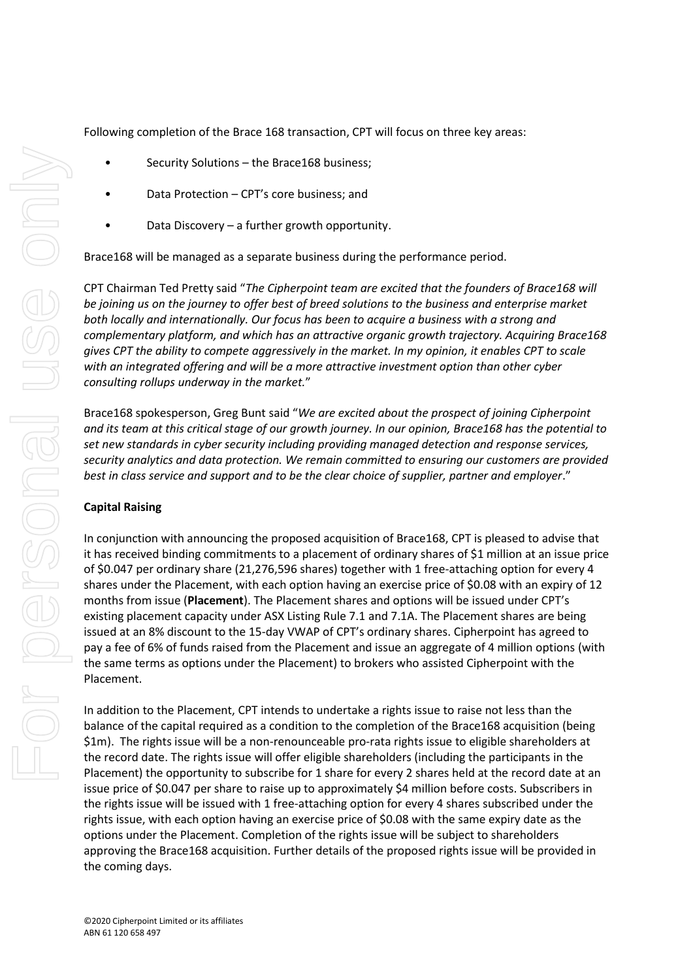Following completion of the Brace 168 transaction, CPT will focus on three key areas:

- Security Solutions the Brace168 business;
- Data Protection CPT's core business; and
- Data Discovery a further growth opportunity.

Brace168 will be managed as a separate business during the performance period.

CPT Chairman Ted Pretty said "*The Cipherpoint team are excited that the founders of Brace168 will be joining us on the journey to offer best of breed solutions to the business and enterprise market both locally and internationally. Our focus has been to acquire a business with a strong and complementary platform, and which has an attractive organic growth trajectory. Acquiring Brace168 gives CPT the ability to compete aggressively in the market. In my opinion, it enables CPT to scale with an integrated offering and will be a more attractive investment option than other cyber consulting rollups underway in the market.*"

Brace168 spokesperson, Greg Bunt said "*We are excited about the prospect of joining Cipherpoint and its team at this critical stage of our growth journey. In our opinion, Brace168 has the potential to set new standards in cyber security including providing managed detection and response services, security analytics and data protection. We remain committed to ensuring our customers are provided best in class service and support and to be the clear choice of supplier, partner and employer*."

#### **Capital Raising**

In conjunction with announcing the proposed acquisition of Brace168, CPT is pleased to advise that it has received binding commitments to a placement of ordinary shares of \$1 million at an issue price of \$0.047 per ordinary share (21,276,596 shares) together with 1 free-attaching option for every 4 shares under the Placement, with each option having an exercise price of \$0.08 with an expiry of 12 months from issue (**Placement**). The Placement shares and options will be issued under CPT's existing placement capacity under ASX Listing Rule 7.1 and 7.1A. The Placement shares are being issued at an 8% discount to the 15-day VWAP of CPT's ordinary shares. Cipherpoint has agreed to pay a fee of 6% of funds raised from the Placement and issue an aggregate of 4 million options (with the same terms as options under the Placement) to brokers who assisted Cipherpoint with the Placement.

In addition to the Placement, CPT intends to undertake a rights issue to raise not less than the balance of the capital required as a condition to the completion of the Brace168 acquisition (being \$1m). The rights issue will be a non-renounceable pro-rata rights issue to eligible shareholders at the record date. The rights issue will offer eligible shareholders (including the participants in the Placement) the opportunity to subscribe for 1 share for every 2 shares held at the record date at an issue price of \$0.047 per share to raise up to approximately \$4 million before costs. Subscribers in the rights issue will be issued with 1 free-attaching option for every 4 shares subscribed under the rights issue, with each option having an exercise price of \$0.08 with the same expiry date as the options under the Placement. Completion of the rights issue will be subject to shareholders approving the Brace168 acquisition. Further details of the proposed rights issue will be provided in the coming days.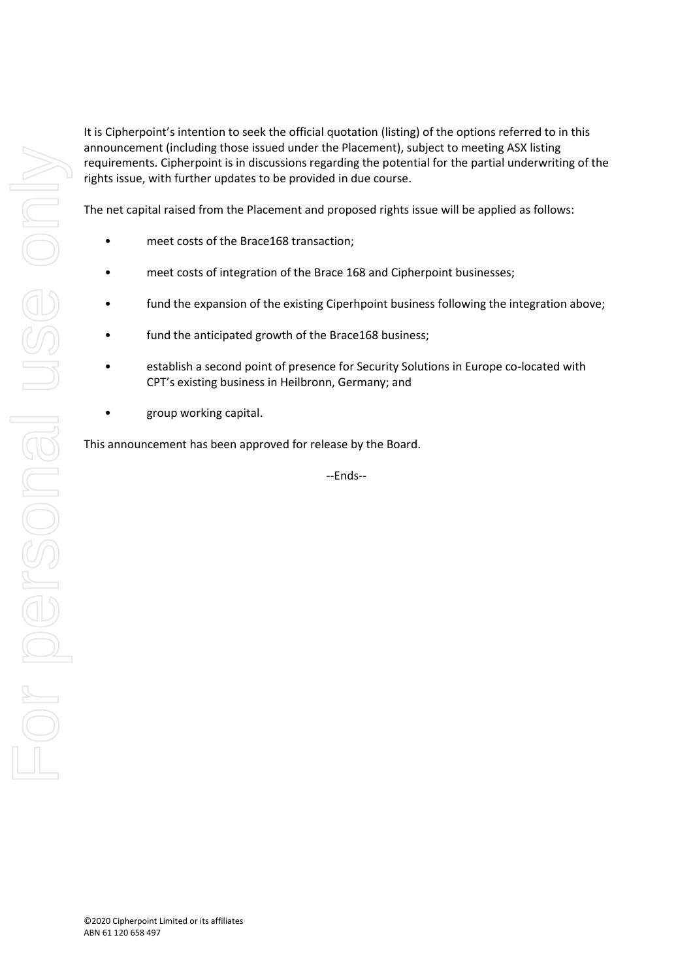It is Cipherpoint's intention to seek the official quotation (listing) of the options referred to in this announcement (including those issued under the Placement), subject to meeting ASX listing requirements. Cipherpoint is in discussions regarding the potential for the partial underwriting of the rights issue, with further updates to be provided in due course.

The net capital raised from the Placement and proposed rights issue will be applied as follows:

- meet costs of the Brace168 transaction;
- meet costs of integration of the Brace 168 and Cipherpoint businesses;
- fund the expansion of the existing Ciperhpoint business following the integration above;
- fund the anticipated growth of the Brace168 business;
- establish a second point of presence for Security Solutions in Europe co-located with CPT's existing business in Heilbronn, Germany; and
- group working capital.

This announcement has been approved for release by the Board.

--Ends--